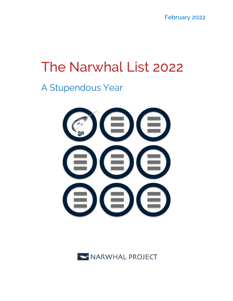February 2022

# The Narwhal List 2022

A Stupendous Year



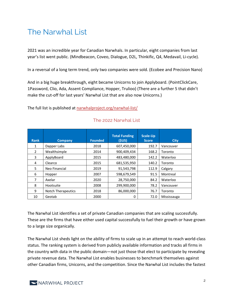# The Narwhal List

2021 was an incredible year for Canadian Narwhals. In particular, eight companies from last year's list went public. (Mindbeacon, Coveo, Dialogue, D2L, Thinkific, Q4, Medavail, Li-cycle).

In a reversal of a long term trend, only two companies were sold. (Ecobee and Precision Nano)

And in a big huge breakthrough, eight became Unicorns to join Applyboard. (PointClickCare, 1Password, Clio, Ada, Assent Compliance, Hopper, Trulioo) (There are a further 5 that didn't make the cut-off for last years' Narwhal List that are also now Unicorns.)

The full list is published at narwhalproject.org/narwhal-list/

| <b>Rank</b>    | <b>Company</b>            | <b>Founded</b> | <b>Total Funding</b><br>(SUS) | Scale-Up<br><b>Score</b> | <b>City</b> |
|----------------|---------------------------|----------------|-------------------------------|--------------------------|-------------|
| 1              | Dapper Labs               | 2018           | 607,450,000                   | 192.7                    | Vancouver   |
| $\overline{2}$ | Wealthsimple              | 2014           | 900,409,434                   | 168.2                    | Toronto     |
| 3              | ApplyBoard                | 2015           | 483,480,000                   | 142.2                    | Waterloo    |
| 4              | Clearco                   | 2015           | 681,535,950                   | 140.2                    | Toronto     |
| 5              | Neo Financial             | 2019           | 91,543,798                    | 112.9                    | Calgary     |
| 6              | Hopper                    | 2007           | 598,679,549                   | 91.5                     | Montreal    |
| 7              | Axelar                    | 2020           | 28,750,000                    | 84.2                     | Waterloo    |
| 8              | Hootsuite                 | 2008           | 299,900,000                   | 78.2                     | Vancouver   |
| 9              | <b>Notch Therapeutics</b> | 2018           | 86,000,000                    | 76.7                     | Toronto     |
| 10             | Geotab                    | 2000           | 0                             | 72.0                     | Mississauga |

### The 2022 Narwhal List

The Narwhal List identifies a set of private Canadian companies that are scaling successfully. These are the firms that have either used capital successfully to fuel their growth or have grown to a large size organically.

The Narwhal List sheds light on the ability of firms to scale up in an attempt to reach world-class status. The ranking system is derived from publicly available information and tracks all firms in the country with data in the public domain—not just those that elect to participate by revealing private revenue data. The Narwhal List enables businesses to benchmark themselves against other Canadian firms, Unicorns, and the competition. Since the Narwhal List includes the fastest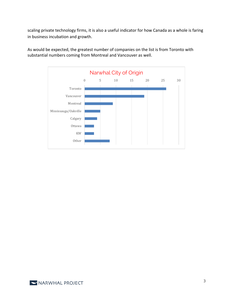scaling private technology firms, it is also a useful indicator for how Canada as a whole is faring in business incubation and growth.



As would be expected, the greatest number of companies on the list is from Toronto with substantial numbers coming from Montreal and Vancouver as well.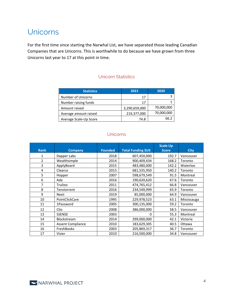## Unicorns

For the first time since starting the Narwhal List, we have separated those leading Canadian Companies that are Unicorns. This is worthwhile to do because we have grown from three Unicorns last year to 17 at this point in time.

### Unicorn Statistics

| <b>Statistics</b>      | 2021          | 2020       |
|------------------------|---------------|------------|
| Number of Unicorns     | 17            |            |
| Number raising funds   | 17            |            |
| Amount raised          | 3,290,659,000 | 70,000,000 |
| Average amount raised  | 219,377,000   | 70,000,000 |
| Average Scale-Up Score | 74.8          | 66.2       |

### Unicorns

| <b>Rank</b> | <b>Company</b>           | <b>Founded</b> | <b>Total Funding \$US</b> | <b>Scale Up</b><br><b>Score</b> | <b>City</b> |
|-------------|--------------------------|----------------|---------------------------|---------------------------------|-------------|
| 1           | Dapper Labs              | 2018           | 607,450,000               | 192.7                           | Vancouver   |
| 2           | Wealthsimple             | 2014           | 900,409,434               | 168.2                           | Toronto     |
| 3           | ApplyBoard               | 2015           | 483,480,000               | 142.2                           | Waterloo    |
| 4           | Clearco                  | 2015           | 681,535,950               | 140.2                           | Toronto     |
| 5           | Hopper                   | 2007           | 598,679,549               | 91.5                            | Montreal    |
| 6           | Ada                      | 2016           | 190,620,620               | 67.6                            | Toronto     |
| 7           | Trulioo                  | 2011           | 474,765,412               | 66.8                            | Vancouver   |
| 8           | Tenstorrent              | 2016           | 234,549,999               | 65.9                            | Toronto     |
| 9           | Nexii                    | 2019           | 85,000,000                | 64.9                            | Vancouver   |
| 10          | PointClickCare           | 1995           | 229,978,523               | 63.1                            | Mississauga |
| 11          | 1Password                | 2005           | 300,135,000               | 59.2                            | Toronto     |
| 12          | Clio                     | 2008           | 386,000,000               | 58.5                            | Vancouver   |
| 13          | <b>SSENSE</b>            | 2003           | 0                         | 55.3                            | Montreal    |
| 14          | Blockstream              | 2014           | 299,000,000               | 42.1                            | Victoria    |
| 15          | <b>Assent Compliance</b> | 2010           | 183,629,305               | 40.5                            | Ottawa      |
| 16          | FreshBooks               | 2003           | 205,869,317               | 36.7                            | Toronto     |
| 17          | Visier                   | 2010           | 216,500,000               | 34.8                            | Vancouver   |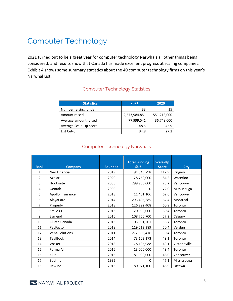# Computer Technology

2021 turned out to be a great year for computer technology Narwhals all other things being considered; and results show that Canada has made excellent progress at scaling companies. Exhibit 4 shows some summary statistics about the 40 computer technology firms on this year's Narwhal List.

### Computer Technology Statistics

| <b>Statistics</b>      | 2021          | 2020        |
|------------------------|---------------|-------------|
| Number raising funds   | 33            | 15          |
| Amount raised          | 2,573,984,851 | 551,213,000 |
| Average amount raised  | 77,999,541    | 36,748,000  |
| Average Scale-Up Score | 48.5          | 42.9        |
| List Cut-off           | 34.8          | 27 Z        |

#### Computer Technology Narwhals

| <b>Rank</b>    | <b>Company</b>        | <b>Founded</b> | <b>Total Funding</b><br>\$US | <b>Scale-Up</b><br><b>Score</b> | <b>City</b>   |
|----------------|-----------------------|----------------|------------------------------|---------------------------------|---------------|
| 1              | Neo Financial         | 2019           | 91,543,798                   | 112.9                           | Calgary       |
| $\overline{2}$ | Axelar                | 2020           | 28,750,000                   | 84.2                            | Waterloo      |
| 3              | Hootsuite             | 2008           | 299,900,000                  | 78.2                            | Vancouver     |
| 4              | Geotab                | 2000           | 0                            | 72.0                            | Mississauga   |
| 5              | Apollo Insurance      | 2018           | 11,401,106                   | 62.6                            | Vancouver     |
| 6              | AlayaCare             | 2014           | 293,405,685                  | 62.4                            | Montreal      |
| 7              | Properly              | 2018           | 126,292,408                  | 60.9                            | Toronto       |
| 8              | Smile CDR             | 2016           | 20,000,000                   | 60.4                            | Toronto       |
| 9              | Symend                | 2016           | 108,756,700                  | 57.2                            | Calgary       |
| 10             | Clutch Canada         | 2016           | 103,091,201                  | 56.7                            | Toronto       |
| 11             | PayFacto              | 2018           | 119,512,389                  | 50.4                            | Verdun        |
| 12             | <b>Vena Solutions</b> | 2011           | 272,805,416                  | 50.4                            | Toronto       |
| 13             | TealBook              | 2014           | 73,102,173                   | 49.1                            | Toronto       |
| 14             | Vosker                | 2018           | 78,135,988                   | 49.1                            | Victoriaville |
| 15             | Forma Ai              | 2016           | 13,000,000                   | 48.4                            | Toronto       |
| 16             | Klue                  | 2015           | 81,000,000                   | 48.0                            | Vancouver     |
| 17             | Soti Inc              | 1995           | 0                            | 47.1                            | Mississauga   |
| 18             | Rewind                | 2015           | 80,071,100                   | 46.9                            | Ottawa        |

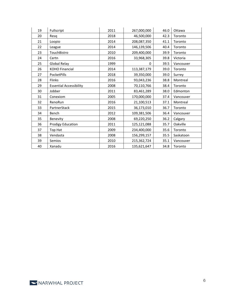| 19 | Fullscript                     | 2011 | 267,000,000 | 46.0 | Ottawa    |
|----|--------------------------------|------|-------------|------|-----------|
| 20 | Resq                           | 2018 | 46,500,000  | 42.3 | Toronto   |
| 21 | Loopio                         | 2014 | 208,087,350 | 41.1 | Toronto   |
| 22 | League                         | 2014 | 146,139,506 | 40.4 | Toronto   |
| 23 | TouchBistro                    | 2010 | 209,400,000 | 39.9 | Toronto   |
| 24 | Certn                          | 2016 | 33,968,305  | 39.8 | Victoria  |
| 25 | Global Relay                   | 1999 | 0           | 39.5 | Vancouver |
| 26 | KOHO Financial                 | 2014 | 113,387,179 | 39.0 | Toronto   |
| 27 | PocketPills                    | 2018 | 39,350,000  | 39.0 | Surrey    |
| 28 | <b>Flinks</b>                  | 2016 | 93,043,236  | 38.8 | Montreal  |
| 29 | <b>Essential Accessibility</b> | 2008 | 70,110,766  | 38.4 | Toronto   |
| 30 | Jobber                         | 2011 | 83,461,289  | 38.0 | Edmonton  |
| 31 | Conexiom                       | 2005 | 170,000,000 | 37.4 | Vancouver |
| 32 | RenoRun                        | 2016 | 21,100,513  | 37.1 | Montreal  |
| 33 | PartnerStack                   | 2015 | 36,173,010  | 36.7 | Toronto   |
| 34 | Bench                          | 2012 | 109,381,506 | 36.4 | Vancouver |
| 35 | Benevity                       | 2008 | 69,220,250  | 36.2 | Calgary   |
| 36 | <b>Prodigy Education</b>       | 2011 | 125,121,088 | 35.7 | Oakville  |
| 37 | Top Hat                        | 2009 | 234,400,000 | 35.6 | Toronto   |
| 38 | Vendasta                       | 2008 | 156,299,157 | 35.5 | Saskatoon |
| 39 | Semios                         | 2010 | 215,362,724 | 35.1 | Vancouver |
| 40 | Xanadu                         | 2016 | 135,621,647 | 34.8 | Toronto   |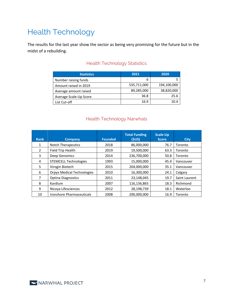# Health Technology

The results for the last year show the sector as being very promising for the future but in the midst of a rebuilding.

### Health Technology Statistics

| <b>Statistics</b>      | 2021        | 2020        |
|------------------------|-------------|-------------|
| Number raising funds   | 6           |             |
| Amount raised in 2019  | 535,711,000 | 194,100,000 |
| Average amount raised  | 89,285,000  | 38,820,000  |
| Average Scale-Up Score | 36.8        | 25.6        |
| List Cut-off           | 16.9        | 10.4        |

### Health Technology Narwhals

| <b>Rank</b>   | <b>Company</b>                    | <b>Founded</b> | <b>Total Funding</b><br>(SUS) | <b>Scale-Up</b><br><b>Score</b> | <b>City</b>   |
|---------------|-----------------------------------|----------------|-------------------------------|---------------------------------|---------------|
| 1             | <b>Notch Therapeutics</b>         | 2018           | 86,000,000                    | 76.7                            | Toronto       |
| $\mathcal{P}$ | Field Trip Health                 | 2019           | 19,500,000                    | 63.3                            | Toronto       |
| 3             | Deep Genomics                     | 2014           | 236,700,000                   | 50.8                            | Toronto       |
| 4             | <b>STEMCELL Technologies</b>      | 1993           | 15,000,000                    | 45.4                            | Vancouver     |
| 5.            | Virogin Biotech                   | 2015           | 204,000,000                   | 35.1                            | Vancouver     |
| 6             | <b>Orpyx Medical Technologies</b> | 2010           | 16,300,000                    | 24.1                            | Calgary       |
| 7             | <b>Optina Diagnostics</b>         | 2011           | 23,148,045                    | 19.7                            | Saint Laurent |
| 8             | Kardium                           | 2007           | 116,136,865                   | 18.3                            | Richmond      |
| 9             | Nicoya Lifesciences               | 2012           | 28,198,739                    | 18.1                            | Waterloo      |
| 10            | Ironshore Pharmaceuticals         | 2008           | 200.000.000                   | 16.9                            | Toronto       |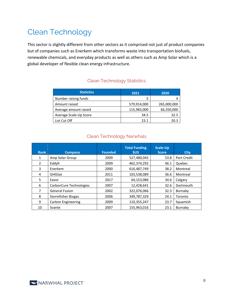# Clean Technology

This sector is slightly different from other sectors as it comprised not just of product companies but of companies such as Enerkem which transforms waste into transportation biofuels, renewable chemicals, and everyday products as well as others such as Amp Solar which is a global developer of flexible clean energy infrastructure.

### Clean Technology Statistics

| <b>Statistics</b>      | 2021        | 2020        |
|------------------------|-------------|-------------|
| Number raising funds   |             |             |
| Amount raised          | 579,914,000 | 265,000,000 |
| Average amount raised  | 115,983,000 | 66,350,000  |
| Average Scale-Up Score | 34.5        | 32.5        |
| List Cut Off           | 23.1        | 20.3        |

### Clean Technology Narwhals

| <b>Rank</b> | <b>Company</b>          | <b>Founded</b> | <b>Total Funding</b><br><b>SUS</b> | Scale-Up<br><b>Score</b> | <b>City</b> |
|-------------|-------------------------|----------------|------------------------------------|--------------------------|-------------|
| 1           | Amp Solar Group         | 2009           | 527,480,045                        | 53.8                     | Port Credit |
| 2           | Eddyfi                  | 2009           | 462,374,292                        | 46.1                     | Quebec      |
| 3           | Enerkem                 | 2000           | 616,487,749                        | 38.2                     | Montreal    |
| 4           | GHGSat                  | 2011           | 103,538,089                        | 36.6                     | Montreal    |
| 5           | Eavor                   | 2017           | 64,153,086                         | 34.6                     | Calgary     |
| 6           | CarbonCure Technologies | 2007           | 12,428,641                         | 32.6                     | Dartmouth   |
| 7           | <b>General Fusion</b>   | 2002           | 322,076,066                        | 32.3                     | Burnaby     |
| 8           | Stormfisher Biogas      | 2006           | 349,787,329                        | 24.1                     | Toronto     |
| 9           | Carbon Engineering      | 2009           | 110,355,247                        | 23.7                     | Squamish    |
| 10          | Svante                  | 2007           | 155,963,016                        | 23.1                     | Burnaby     |

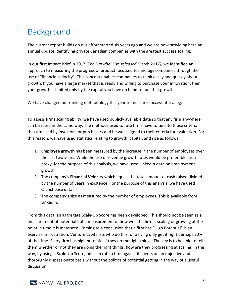# **Background**

The current report builds on our effort started six years ago and we are now providing here an annual update identifying private Canadian companies with the greatest success scaling.

In our first Impact Brief in 2017 (*The Narwhal List, released* March 2017*)*, we identified an approach to measuring the progress of product focussed technology companies through the use of "financial velocity". This concept enables companies to think easily and quickly about growth. If you have a large market that is ready and willing to purchase your innovation, then your growth is limited only by the capital you have on hand to fuel that growth.

We have changed our ranking methodology this year to measure success at scaling.

To assess firms scaling ability, we have used publicly available data so that any firm anywhere can be rated in the same way. The methods used to rate firms have to tie into those criteria that are used by investors, or purchasers and be well aligned to their criteria for evaluation. For this reason, we have used statistics relating to growth, capital, and size as follows:

- 1. **Employee growth** has been measured by the increase in the number of employees over the last two years. While the use of revenue growth rates would be preferable, as a proxy, for the purpose of this analysis, we have used LinkedIn data on employment growth.
- 2. The company's **Financial Velocity** which equals the total amount of cash raised divided by the number of years in existence. For the purpose of this analysis, we have used Crunchbase data.
- 3. The company's size as measured by the number of employees. This is available from LinkedIn.

From this data, an aggregate Scale-Up Score has been developed. This should not be seen as a measurement of potential but a measurement of how well the firm is scaling or growing at the point in time it is measured. Coming to a conclusion that a firm has "High Potential" is an exercise in frustration. Venture capitalists who do this for a living only get it right perhaps 20% of the time. Every firm has high potential if they do the right things. The key is to be able to tell them whether or not they are doing the right things, how are they progressing at scaling. In this way, by using a Scale-Up Score, one can rate a firm against its peers on an objective and thoroughly dispassionate basis without the politics of potential getting in the way of a useful discussion.

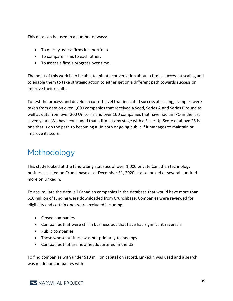This data can be used in a number of ways:

- To quickly assess firms in a portfolio
- To compare firms to each other.
- To assess a firm's progress over time.

The point of this work is to be able to initiate conversation about a firm's success at scaling and to enable them to take strategic action to either get on a different path towards success or improve their results.

To test the process and develop a cut-off level that indicated success at scaling, samples were taken from data on over 1,000 companies that received a Seed, Series A and Series B round as well as data from over 200 Unicorns and over 100 companies that have had an IPO in the last seven years. We have concluded that a firm at any stage with a Scale-Up Score of above 25 is one that is on the path to becoming a Unicorn or going public if it manages to maintain or improve its score.

# Methodology

This study looked at the fundraising statistics of over 1,000 private Canadian technology businesses listed on Crunchbase as at December 31, 2020. It also looked at several hundred more on LinkedIn.

To accumulate the data, all Canadian companies in the database that would have more than \$10 million of funding were downloaded from Crunchbase. Companies were reviewed for eligibility and certain ones were excluded including:

- Closed companies
- Companies that were still in business but that have had significant reversals
- Public companies
- Those whose business was not primarily technology
- Companies that are now headquartered in the US.

To find companies with under \$10 million capital on record, LinkedIn was used and a search was made for companies with:

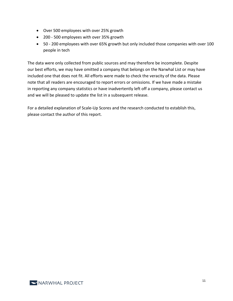- Over 500 employees with over 25% growth
- 200 500 employees with over 35% growth
- 50 200 employees with over 65% growth but only included those companies with over 100 people in tech

The data were only collected from public sources and may therefore be incomplete. Despite our best efforts, we may have omitted a company that belongs on the Narwhal List or may have included one that does not fit. All efforts were made to check the veracity of the data. Please note that all readers are encouraged to report errors or omissions. If we have made a mistake in reporting any company statistics or have inadvertently left off a company, please contact us and we will be pleased to update the list in a subsequent release.

For a detailed explanation of Scale-Up Scores and the research conducted to establish this, please contact the author of this report.